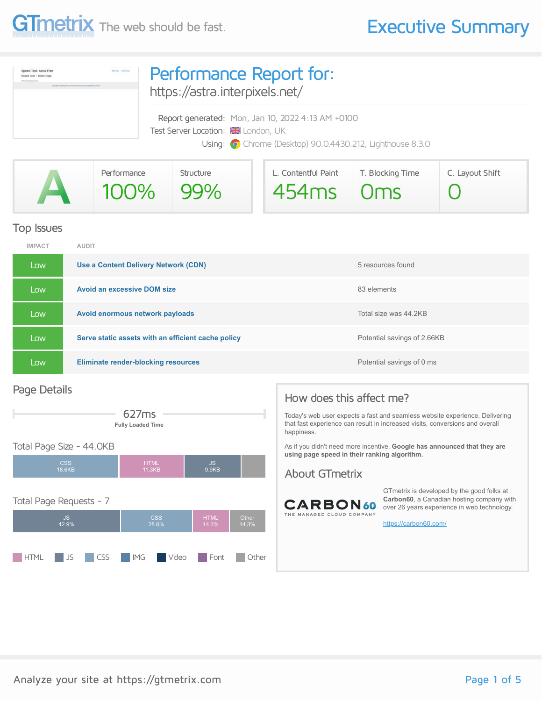

| Speed Test: Astra Free<br><b>Baltima</b> Detection<br>Speed Test - Blank Page<br>Theorem Author Herming, 3 For<br>Traumph 4 333 Second Text (dotto Pape ) Progress to Annu Munitirum Theiro | Performance Report for:<br>https://astra.interpixels.net/                                                                                            |  |  |  |
|---------------------------------------------------------------------------------------------------------------------------------------------------------------------------------------------|------------------------------------------------------------------------------------------------------------------------------------------------------|--|--|--|
|                                                                                                                                                                                             | Report generated: Mon, Jan 10, 2022 4:13 AM +0100<br>Test Server Location: X London, UK<br>Using: O Chrome (Desktop) 90.0.4430.212, Lighthouse 8.3.0 |  |  |  |

| Performance | Structure | L. Contentful Paint | T. Blocking Time | C. Layout Shift |
|-------------|-----------|---------------------|------------------|-----------------|
| 100% 99%    |           | 454ms   Oms         |                  |                 |

#### Top Issues

| <b>IMPACT</b> | <b>AUDIT</b>                                       |                             |
|---------------|----------------------------------------------------|-----------------------------|
| Low           | Use a Content Delivery Network (CDN)               | 5 resources found           |
| Low           | <b>Avoid an excessive DOM size</b>                 | 83 elements                 |
| Low           | Avoid enormous network payloads                    | Total size was 44.2KB       |
| Low           | Serve static assets with an efficient cache policy | Potential savings of 2.66KB |
| Low           | <b>Eliminate render-blocking resources</b>         | Potential savings of 0 ms   |

#### Page Details



#### Total Page Size - 44.0KB



### How does this affect me?

Today's web user expects a fast and seamless website experience. Delivering that fast experience can result in increased visits, conversions and overall happiness.

As if you didn't need more incentive, **Google has announced that they are using page speed in their ranking algorithm.**

#### About GTmetrix



GTmetrix is developed by the good folks at **Carbon60**, a Canadian hosting company with over 26 years experience in web technology.

<https://carbon60.com/>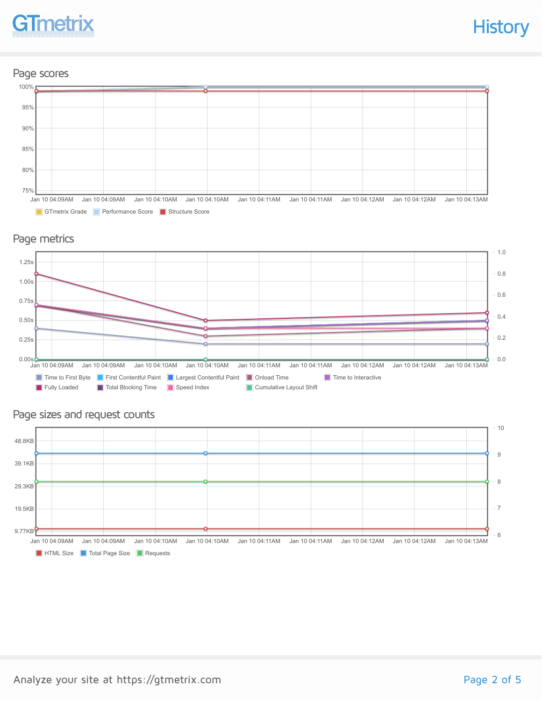# **GTmetrix**

**History** 

#### Page scores



#### Page metrics



#### Page sizes and request counts

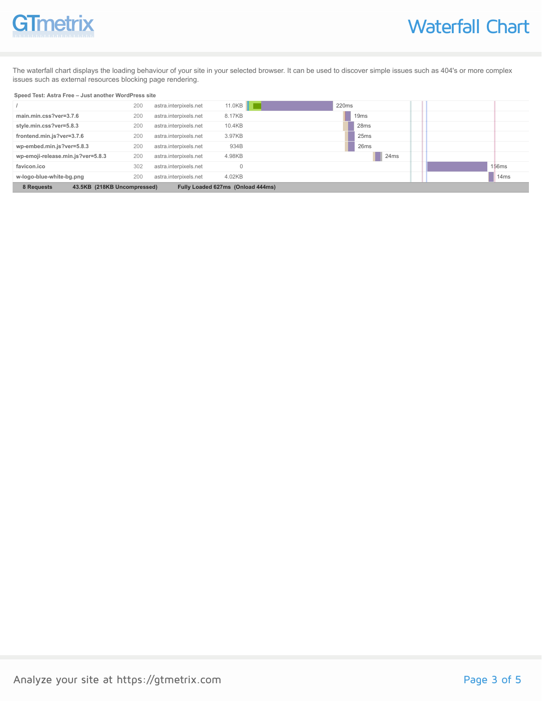## **GTmetrix**

The waterfall chart displays the loading behaviour of your site in your selected browser. It can be used to discover simple issues such as 404's or more complex issues such as external resources blocking page rendering.

#### **Speed Test: Astra Free – Just another WordPress site**

|                                                                                | 200 | astra.interpixels.net | 11.0KB | 220ms            |                   |
|--------------------------------------------------------------------------------|-----|-----------------------|--------|------------------|-------------------|
| main.min.css?ver=3.7.6                                                         | 200 | astra.interpixels.net | 8.17KB | 19 <sub>ms</sub> |                   |
| style.min.css?ver=5.8.3                                                        | 200 | astra.interpixels.net | 10.4KB | 28ms             |                   |
| frontend.min.js?ver=3.7.6                                                      | 200 | astra.interpixels.net | 3.97KB | 25 <sub>ms</sub> |                   |
| wp-embed.min.js?ver=5.8.3                                                      | 200 | astra.interpixels.net | 934B   | 26ms             |                   |
| wp-emoji-release.min.js?ver=5.8.3                                              | 200 | astra.interpixels.net | 4.98KB | 24ms             |                   |
| favicon.ico                                                                    | 302 | astra.interpixels.net |        |                  | 156 <sub>ms</sub> |
| w-logo-blue-white-bg.png                                                       | 200 | astra.interpixels.net | 4.02KB |                  | 14 <sub>ms</sub>  |
| 43.5KB (218KB Uncompressed)<br>Fully Loaded 627ms (Onload 444ms)<br>8 Requests |     |                       |        |                  |                   |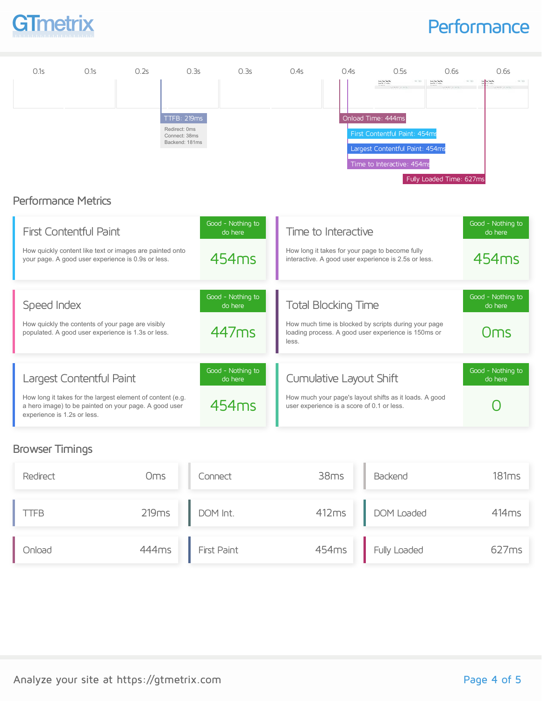

### **Performance**



#### Browser Timings

| Redirect    | Oms   | Connect            | 38ms              | Backend      | 181ms |
|-------------|-------|--------------------|-------------------|--------------|-------|
| <b>TTFB</b> | 219ms | DOM Int.           | 412ms             | DOM Loaded   | 414ms |
| Onload      | 444ms | <b>First Paint</b> | 454 <sub>ms</sub> | Fully Loaded | 627ms |